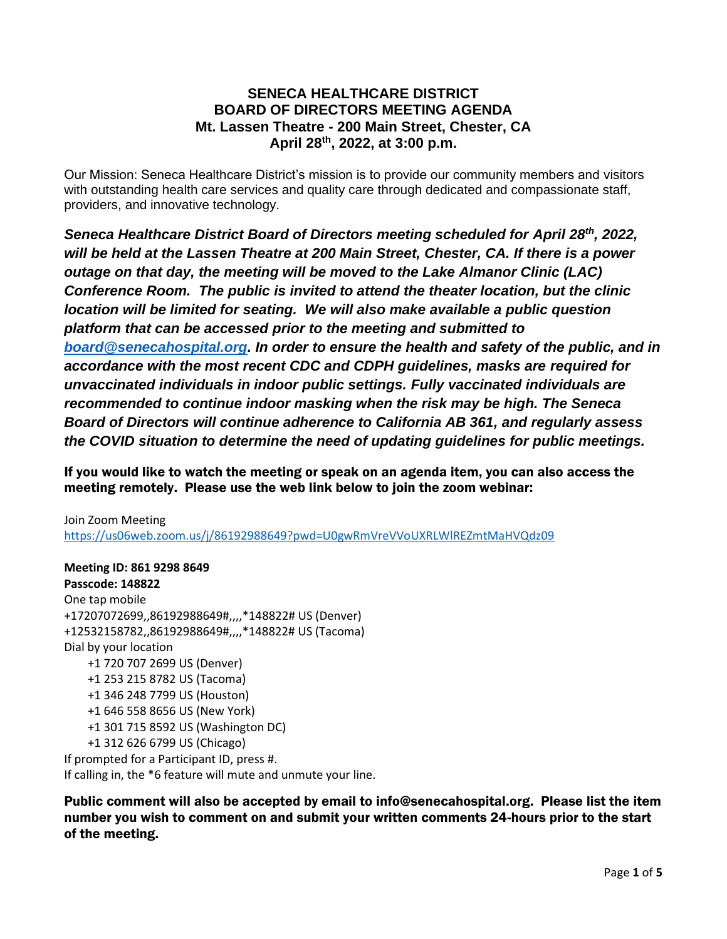## **SENECA HEALTHCARE DISTRICT BOARD OF DIRECTORS MEETING AGENDA Mt. Lassen Theatre - 200 Main Street, Chester, CA April 28th , 2022, at 3:00 p.m.**

Our Mission: Seneca Healthcare District's mission is to provide our community members and visitors with outstanding health care services and quality care through dedicated and compassionate staff, providers, and innovative technology.

*Seneca Healthcare District Board of Directors meeting scheduled for April 28th, 2022, will be held at the Lassen Theatre at [200](https://www.bing.com/local?lid=YN873x10979119402229396056&id=YN873x10979119402229396056&q=Mt.+Lassen+Theatre&name=Mt.+Lassen+Theatre&cp=40.31023025512695%7e-121.22940826416016&ppois=40.31023025512695_-121.22940826416016_Mt.+Lassen+Theatre) Main Street, Chester, CA. If there is a power outage on that day, the meeting will be moved to the Lake Almanor Clinic (LAC) Conference Room. The public is invited to attend the theater location, but the clinic location will be limited for seating. We will also make available a public question platform that can be accessed prior to the meeting and submitted to [board@senecahospital.org.](mailto:board@senecahospital.org) In order to ensure the health and safety of the public, and in accordance with the most recent CDC and CDPH guidelines, masks are required for unvaccinated individuals in indoor public settings. Fully vaccinated individuals are recommended to continue indoor masking when the risk may be high. The Seneca Board of Directors will continue adherence to California AB 361, and regularly assess the COVID situation to determine the need of updating guidelines for public meetings.*

If you would like to watch the meeting or speak on an agenda item, you can also access the meeting remotely. Please use the web link below to join the zoom webinar:

Join Zoom Meeting <https://us06web.zoom.us/j/86192988649?pwd=U0gwRmVreVVoUXRLWlREZmtMaHVQdz09>

**Meeting ID: 861 9298 8649 Passcode: 148822** One tap mobile +17207072699,,86192988649#,,,,\*148822# US (Denver) +12532158782,,86192988649#,,,,\*148822# US (Tacoma) Dial by your location +1 720 707 2699 US (Denver) +1 253 215 8782 US (Tacoma) +1 346 248 7799 US (Houston) +1 646 558 8656 US (New York) +1 301 715 8592 US (Washington DC) +1 312 626 6799 US (Chicago) If prompted for a Participant ID, press #. If calling in, the \*6 feature will mute and unmute your line.

Public comment will also be accepted by email to info@senecahospital.org. Please list the item number you wish to comment on and submit your written comments 24-hours prior to the start of the meeting.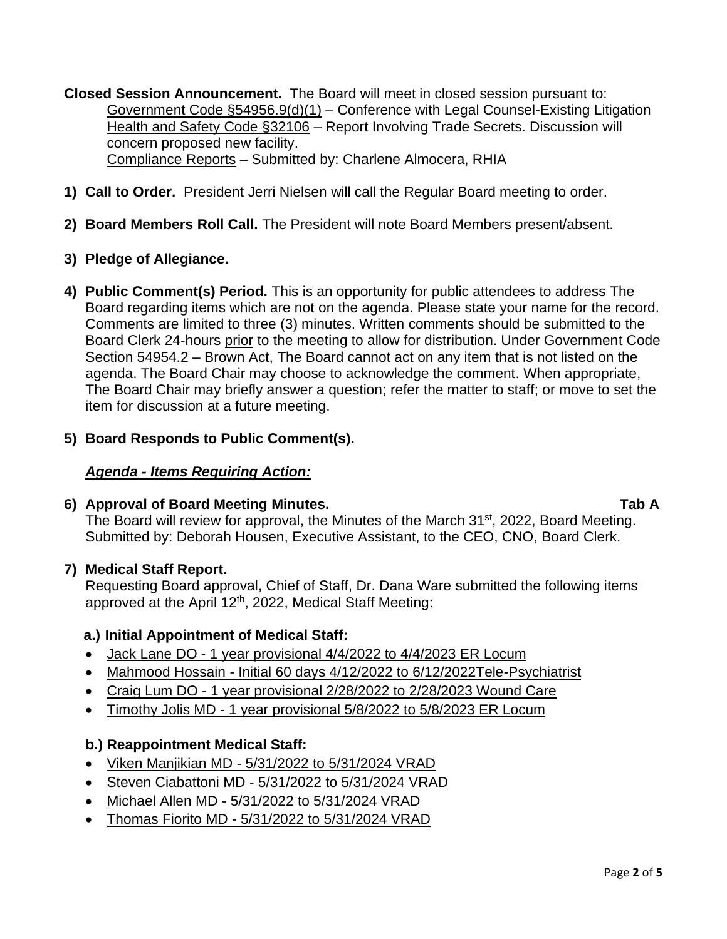**Closed Session Announcement.** The Board will meet in closed session pursuant to: Government Code §54956.9(d)(1) – Conference with Legal Counsel-Existing Litigation Health and Safety Code §32106 – Report Involving Trade Secrets. Discussion will concern proposed new facility. Compliance Reports – Submitted by: Charlene Almocera, RHIA

- **1) Call to Order.** President Jerri Nielsen will call the Regular Board meeting to order.
- **2) Board Members Roll Call.** The President will note Board Members present/absent.
- **3) Pledge of Allegiance.**
- **4) Public Comment(s) Period.** This is an opportunity for public attendees to address The Board regarding items which are not on the agenda. Please state your name for the record. Comments are limited to three (3) minutes. Written comments should be submitted to the Board Clerk 24-hours prior to the meeting to allow for distribution. Under Government Code Section 54954.2 – Brown Act, The Board cannot act on any item that is not listed on the agenda. The Board Chair may choose to acknowledge the comment. When appropriate, The Board Chair may briefly answer a question; refer the matter to staff; or move to set the item for discussion at a future meeting.
- **5) Board Responds to Public Comment(s).**

#### *Agenda - Items Requiring Action:*

#### **6) Approval of Board Meeting Minutes. Tab A**

The Board will review for approval, the Minutes of the March 31<sup>st</sup>, 2022, Board Meeting. Submitted by: Deborah Housen, Executive Assistant, to the CEO, CNO, Board Clerk.

#### **7) Medical Staff Report.**

Requesting Board approval, Chief of Staff, Dr. Dana Ware submitted the following items approved at the April 12<sup>th</sup>, 2022, Medical Staff Meeting:

#### **a.) Initial Appointment of Medical Staff:**

- Jack Lane DO 1 year provisional 4/4/2022 to 4/4/2023 ER Locum
- Mahmood Hossain Initial 60 days 4/12/2022 to 6/12/2022Tele-Psychiatrist
- Craig Lum DO 1 year provisional 2/28/2022 to 2/28/2023 Wound Care
- Timothy Jolis MD 1 year provisional 5/8/2022 to 5/8/2023 ER Locum

#### **b.) Reappointment Medical Staff:**

- Viken Manjikian MD 5/31/2022 to 5/31/2024 VRAD
- Steven Ciabattoni MD 5/31/2022 to 5/31/2024 VRAD
- Michael Allen MD 5/31/2022 to 5/31/2024 VRAD
- Thomas Fiorito MD 5/31/2022 to 5/31/2024 VRAD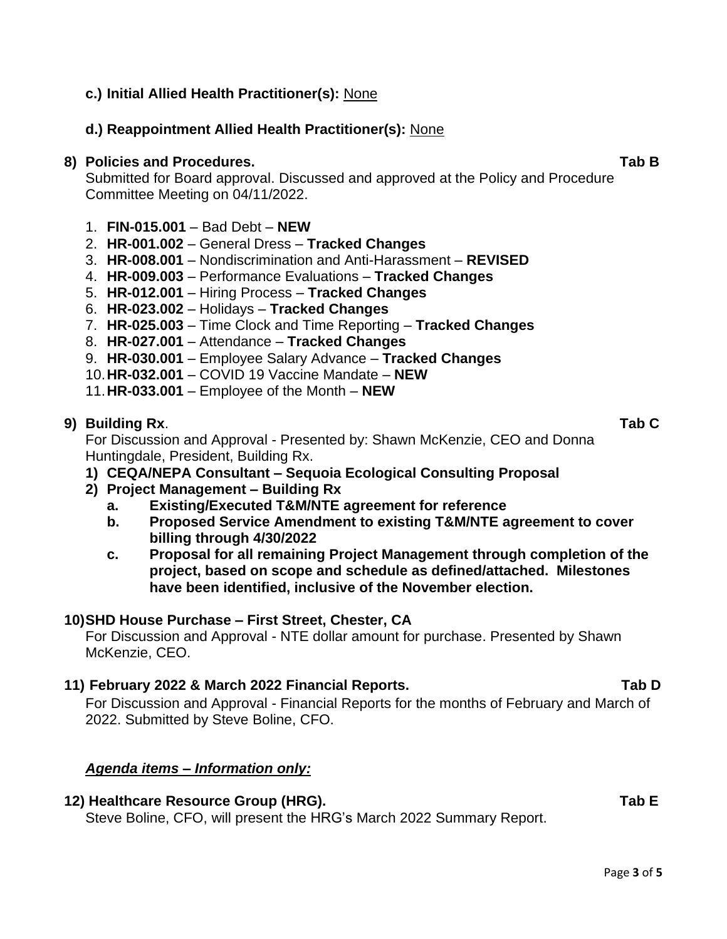# **c.) Initial Allied Health Practitioner(s):** None

# **d.) Reappointment Allied Health Practitioner(s):** None

### **8) Policies and Procedures. Tab B**

Submitted for Board approval. Discussed and approved at the Policy and Procedure Committee Meeting on 04/11/2022.

- 1. **FIN-015.001** Bad Debt **NEW**
- 2. **HR-001.002** General Dress **Tracked Changes**
- 3. **HR-008.001** Nondiscrimination and Anti-Harassment **REVISED**
- 4. **HR-009.003** Performance Evaluations **Tracked Changes**
- 5. **HR-012.001** Hiring Process **Tracked Changes**
- 6. **HR-023.002** Holidays **Tracked Changes**
- 7. **HR-025.003** Time Clock and Time Reporting **Tracked Changes**
- 8. **HR-027.001** Attendance **Tracked Changes**
- 9. **HR-030.001** Employee Salary Advance **Tracked Changes**
- 10.**HR-032.001** COVID 19 Vaccine Mandate **NEW**
- 11.**HR-033.001** Employee of the Month **NEW**

## **9) Building Rx**. **Tab C**

For Discussion and Approval - Presented by: Shawn McKenzie, CEO and Donna Huntingdale, President, Building Rx.

- **1) CEQA/NEPA Consultant – Sequoia Ecological Consulting Proposal**
- **2) Project Management – Building Rx**
	- **a. Existing/Executed T&M/NTE agreement for reference**
	- **b. Proposed Service Amendment to existing T&M/NTE agreement to cover billing through 4/30/2022**
	- **c. Proposal for all remaining Project Management through completion of the project, based on scope and schedule as defined/attached. Milestones have been identified, inclusive of the November election.**

# **10)SHD House Purchase – First Street, Chester, CA**

For Discussion and Approval - NTE dollar amount for purchase. Presented by Shawn McKenzie, CEO.

# **11) February 2022 & March 2022 Financial Reports. Tab D**

For Discussion and Approval - Financial Reports for the months of February and March of 2022. Submitted by Steve Boline, CFO.

# *Agenda items – Information only:*

#### **12) Healthcare Resource Group (HRG). Tab E**

Steve Boline, CFO, will present the HRG's March 2022 Summary Report.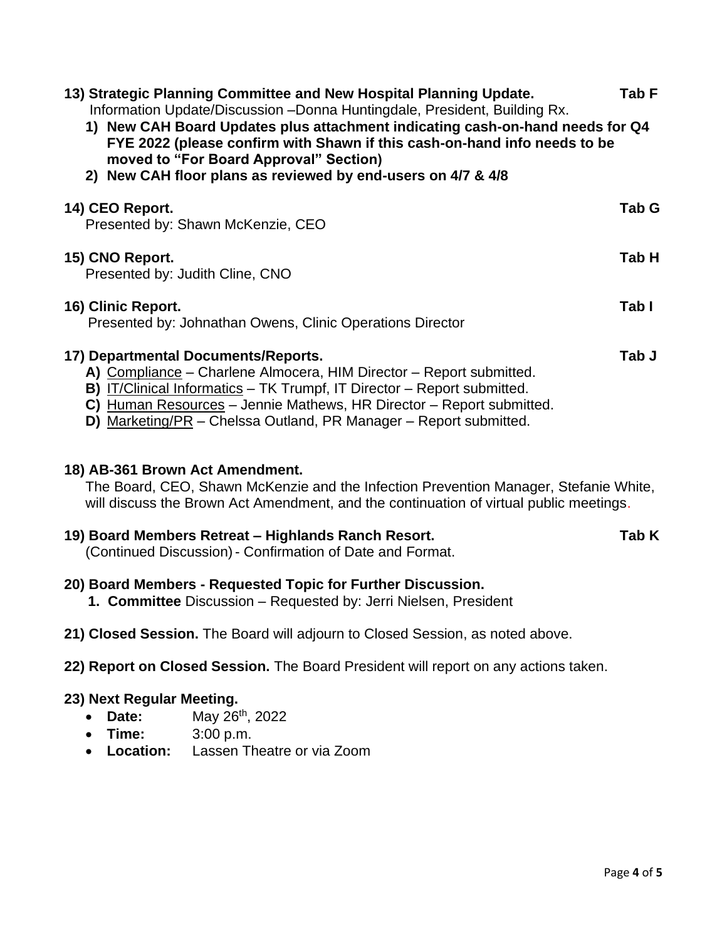| 13) Strategic Planning Committee and New Hospital Planning Update.<br>Information Update/Discussion - Donna Huntingdale, President, Building Rx.<br>1) New CAH Board Updates plus attachment indicating cash-on-hand needs for Q4<br>FYE 2022 (please confirm with Shawn if this cash-on-hand info needs to be<br>moved to "For Board Approval" Section)<br>2) New CAH floor plans as reviewed by end-users on 4/7 & 4/8 | Tab F |
|--------------------------------------------------------------------------------------------------------------------------------------------------------------------------------------------------------------------------------------------------------------------------------------------------------------------------------------------------------------------------------------------------------------------------|-------|
| 14) CEO Report.<br>Presented by: Shawn McKenzie, CEO                                                                                                                                                                                                                                                                                                                                                                     | Tab G |
| 15) CNO Report.<br>Presented by: Judith Cline, CNO                                                                                                                                                                                                                                                                                                                                                                       | Tab H |
| 16) Clinic Report.<br>Presented by: Johnathan Owens, Clinic Operations Director                                                                                                                                                                                                                                                                                                                                          | Tab I |
| 17) Departmental Documents/Reports.<br>A) Compliance - Charlene Almocera, HIM Director - Report submitted.<br>B) IT/Clinical Informatics - TK Trumpf, IT Director - Report submitted.<br>C) Human Resources - Jennie Mathews, HR Director - Report submitted.<br>D) Marketing/PR - Chelssa Outland, PR Manager - Report submitted.                                                                                       | Tab J |
| 18) AB-361 Brown Act Amendment.                                                                                                                                                                                                                                                                                                                                                                                          |       |

The Board, CEO, Shawn McKenzie and the Infection Prevention Manager, Stefanie White, will discuss the Brown Act Amendment, and the continuation of virtual public meetings.

# **19) Board Members Retreat – Highlands Ranch Resort. Tab K**

(Continued Discussion)- Confirmation of Date and Format.

# **20) Board Members - Requested Topic for Further Discussion.**

**1. Committee** Discussion – Requested by: Jerri Nielsen, President

# **21) Closed Session.** The Board will adjourn to Closed Session, as noted above.

**22) Report on Closed Session.** The Board President will report on any actions taken.

# **23) Next Regular Meeting.**

- **Date:** May 26<sup>th</sup>, 2022
- **Time:** 3:00 p.m.
- **Location:** Lassen Theatre or via Zoom